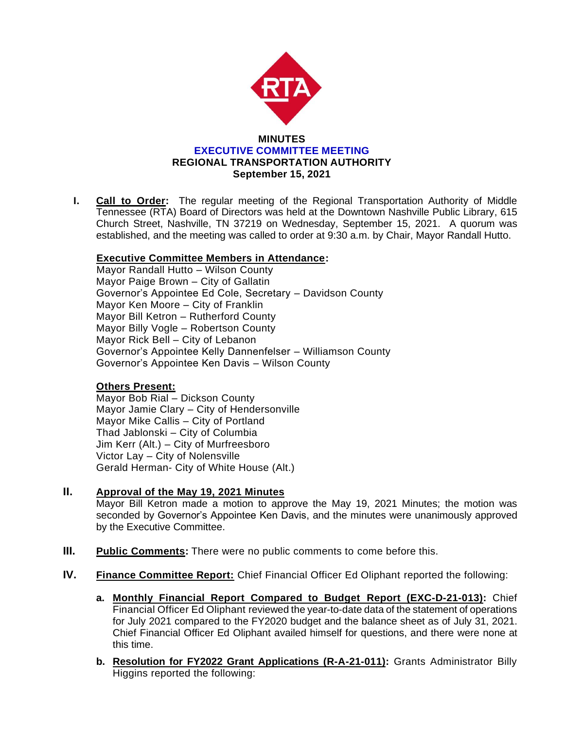

**I. Call to Order:** The regular meeting of the Regional Transportation Authority of Middle Tennessee (RTA) Board of Directors was held at the Downtown Nashville Public Library, 615 Church Street, Nashville, TN 37219 on Wednesday, September 15, 2021. A quorum was established, and the meeting was called to order at 9:30 a.m. by Chair, Mayor Randall Hutto.

# **Executive Committee Members in Attendance:**

Mayor Randall Hutto – Wilson County Mayor Paige Brown – City of Gallatin Governor's Appointee Ed Cole, Secretary – Davidson County Mayor Ken Moore – City of Franklin Mayor Bill Ketron – Rutherford County Mayor Billy Vogle – Robertson County Mayor Rick Bell – City of Lebanon Governor's Appointee Kelly Dannenfelser – Williamson County Governor's Appointee Ken Davis – Wilson County

# **Others Present:**

Mayor Bob Rial – Dickson County Mayor Jamie Clary – City of Hendersonville Mayor Mike Callis – City of Portland Thad Jablonski – City of Columbia Jim Kerr (Alt.) – City of Murfreesboro Victor Lay – City of Nolensville Gerald Herman- City of White House (Alt.)

- **II. Approval of the May 19, 2021 Minutes** Mayor Bill Ketron made a motion to approve the May 19, 2021 Minutes; the motion was seconded by Governor's Appointee Ken Davis, and the minutes were unanimously approved by the Executive Committee.
- **III. Public Comments:** There were no public comments to come before this.
- **IV. Finance Committee Report:** Chief Financial Officer Ed Oliphant reported the following:
	- **a. Monthly Financial Report Compared to Budget Report (EXC-D-21-013):** Chief Financial Officer Ed Oliphant reviewed the year-to-date data of the statement of operations for July 2021 compared to the FY2020 budget and the balance sheet as of July 31, 2021. Chief Financial Officer Ed Oliphant availed himself for questions, and there were none at this time.
	- **b. Resolution for FY2022 Grant Applications (R-A-21-011):** Grants Administrator Billy Higgins reported the following: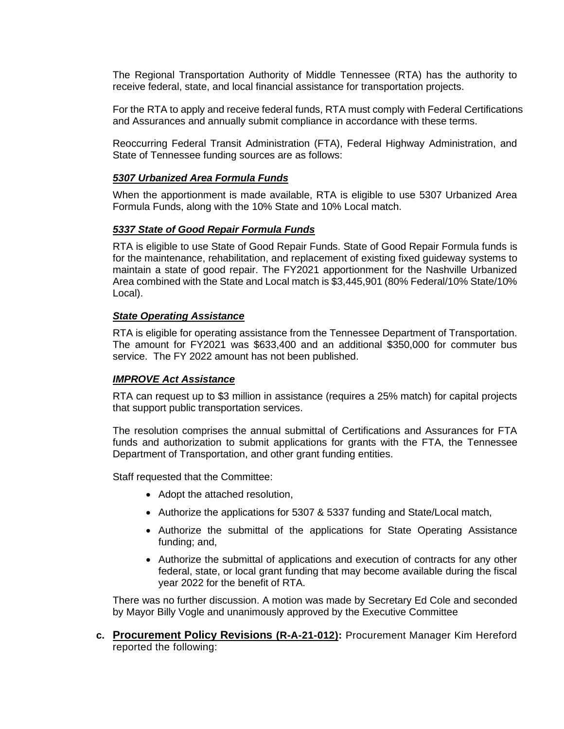The Regional Transportation Authority of Middle Tennessee (RTA) has the authority to receive federal, state, and local financial assistance for transportation projects.

For the RTA to apply and receive federal funds, RTA must comply with Federal Certifications and Assurances and annually submit compliance in accordance with these terms.

Reoccurring Federal Transit Administration (FTA), Federal Highway Administration, and State of Tennessee funding sources are as follows:

#### *5307 Urbanized Area Formula Funds*

When the apportionment is made available, RTA is eligible to use 5307 Urbanized Area Formula Funds, along with the 10% State and 10% Local match.

### *5337 State of Good Repair Formula Funds*

RTA is eligible to use State of Good Repair Funds. State of Good Repair Formula funds is for the maintenance, rehabilitation, and replacement of existing fixed guideway systems to maintain a state of good repair. The FY2021 apportionment for the Nashville Urbanized Area combined with the State and Local match is \$3,445,901 (80% Federal/10% State/10% Local).

### *State Operating Assistance*

RTA is eligible for operating assistance from the Tennessee Department of Transportation. The amount for FY2021 was \$633,400 and an additional \$350,000 for commuter bus service. The FY 2022 amount has not been published.

#### *IMPROVE Act Assistance*

RTA can request up to \$3 million in assistance (requires a 25% match) for capital projects that support public transportation services.

The resolution comprises the annual submittal of Certifications and Assurances for FTA funds and authorization to submit applications for grants with the FTA, the Tennessee Department of Transportation, and other grant funding entities.

Staff requested that the Committee:

- Adopt the attached resolution,
- Authorize the applications for 5307 & 5337 funding and State/Local match,
- Authorize the submittal of the applications for State Operating Assistance funding; and,
- Authorize the submittal of applications and execution of contracts for any other federal, state, or local grant funding that may become available during the fiscal year 2022 for the benefit of RTA.

There was no further discussion. A motion was made by Secretary Ed Cole and seconded by Mayor Billy Vogle and unanimously approved by the Executive Committee

**c. Procurement Policy Revisions (R-A-21-012):** Procurement Manager Kim Hereford reported the following: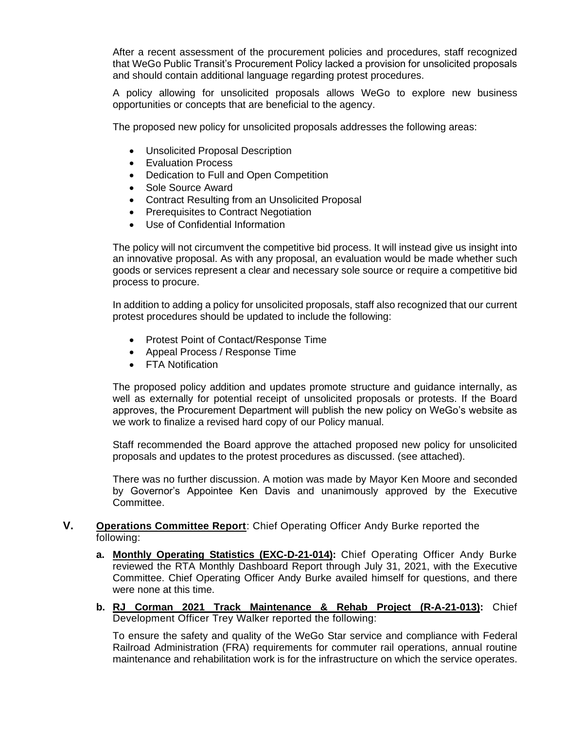After a recent assessment of the procurement policies and procedures, staff recognized that WeGo Public Transit's Procurement Policy lacked a provision for unsolicited proposals and should contain additional language regarding protest procedures.

A policy allowing for unsolicited proposals allows WeGo to explore new business opportunities or concepts that are beneficial to the agency.

The proposed new policy for unsolicited proposals addresses the following areas:

- Unsolicited Proposal Description
- Evaluation Process
- Dedication to Full and Open Competition
- Sole Source Award
- Contract Resulting from an Unsolicited Proposal
- Prerequisites to Contract Negotiation
- Use of Confidential Information

The policy will not circumvent the competitive bid process. It will instead give us insight into an innovative proposal. As with any proposal, an evaluation would be made whether such goods or services represent a clear and necessary sole source or require a competitive bid process to procure.

In addition to adding a policy for unsolicited proposals, staff also recognized that our current protest procedures should be updated to include the following:

- Protest Point of Contact/Response Time
- Appeal Process / Response Time
- FTA Notification

The proposed policy addition and updates promote structure and guidance internally, as well as externally for potential receipt of unsolicited proposals or protests. If the Board approves, the Procurement Department will publish the new policy on WeGo's website as we work to finalize a revised hard copy of our Policy manual.

Staff recommended the Board approve the attached proposed new policy for unsolicited proposals and updates to the protest procedures as discussed. (see attached).

There was no further discussion. A motion was made by Mayor Ken Moore and seconded by Governor's Appointee Ken Davis and unanimously approved by the Executive Committee.

# **V. Operations Committee Report**: Chief Operating Officer Andy Burke reported the following:

- **a. Monthly Operating Statistics (EXC-D-21-014):** Chief Operating Officer Andy Burke reviewed the RTA Monthly Dashboard Report through July 31, 2021, with the Executive Committee. Chief Operating Officer Andy Burke availed himself for questions, and there were none at this time.
- **b. RJ Corman 2021 Track Maintenance & Rehab Project (R-A-21-013):** Chief Development Officer Trey Walker reported the following:

To ensure the safety and quality of the WeGo Star service and compliance with Federal Railroad Administration (FRA) requirements for commuter rail operations, annual routine maintenance and rehabilitation work is for the infrastructure on which the service operates.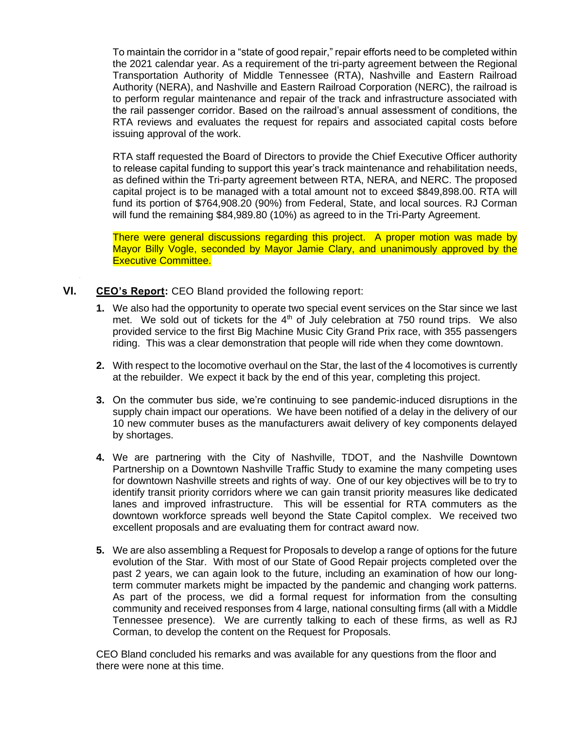To maintain the corridor in a "state of good repair," repair efforts need to be completed within the 2021 calendar year. As a requirement of the tri-party agreement between the Regional Transportation Authority of Middle Tennessee (RTA), Nashville and Eastern Railroad Authority (NERA), and Nashville and Eastern Railroad Corporation (NERC), the railroad is to perform regular maintenance and repair of the track and infrastructure associated with the rail passenger corridor. Based on the railroad's annual assessment of conditions, the RTA reviews and evaluates the request for repairs and associated capital costs before issuing approval of the work.

RTA staff requested the Board of Directors to provide the Chief Executive Officer authority to release capital funding to support this year's track maintenance and rehabilitation needs, as defined within the Tri-party agreement between RTA, NERA, and NERC. The proposed capital project is to be managed with a total amount not to exceed \$849,898.00. RTA will fund its portion of \$764,908.20 (90%) from Federal, State, and local sources. RJ Corman will fund the remaining \$84,989.80 (10%) as agreed to in the Tri-Party Agreement.

There were general discussions regarding this project. A proper motion was made by Mayor Billy Vogle, seconded by Mayor Jamie Clary, and unanimously approved by the Executive Committee.

# **VI. CEO's Report:** CEO Bland provided the following report:

- **1.** We also had the opportunity to operate two special event services on the Star since we last met. We sold out of tickets for the  $4<sup>th</sup>$  of July celebration at 750 round trips. We also provided service to the first Big Machine Music City Grand Prix race, with 355 passengers riding. This was a clear demonstration that people will ride when they come downtown.
- **2.** With respect to the locomotive overhaul on the Star, the last of the 4 locomotives is currently at the rebuilder. We expect it back by the end of this year, completing this project.
- **3.** On the commuter bus side, we're continuing to see pandemic-induced disruptions in the supply chain impact our operations. We have been notified of a delay in the delivery of our 10 new commuter buses as the manufacturers await delivery of key components delayed by shortages.
- **4.** We are partnering with the City of Nashville, TDOT, and the Nashville Downtown Partnership on a Downtown Nashville Traffic Study to examine the many competing uses for downtown Nashville streets and rights of way. One of our key objectives will be to try to identify transit priority corridors where we can gain transit priority measures like dedicated lanes and improved infrastructure. This will be essential for RTA commuters as the downtown workforce spreads well beyond the State Capitol complex. We received two excellent proposals and are evaluating them for contract award now.
- **5.** We are also assembling a Request for Proposals to develop a range of options for the future evolution of the Star. With most of our State of Good Repair projects completed over the past 2 years, we can again look to the future, including an examination of how our longterm commuter markets might be impacted by the pandemic and changing work patterns. As part of the process, we did a formal request for information from the consulting community and received responses from 4 large, national consulting firms (all with a Middle Tennessee presence). We are currently talking to each of these firms, as well as RJ Corman, to develop the content on the Request for Proposals.

CEO Bland concluded his remarks and was available for any questions from the floor and there were none at this time.